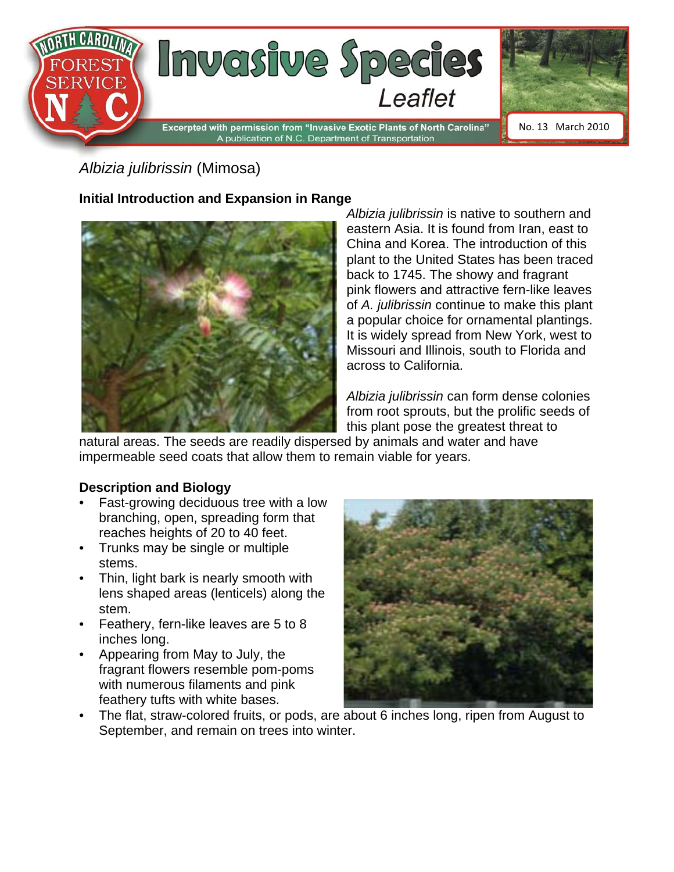

# *Albizia julibrissin* (Mimosa)

## **Initial Introduction and Expansion in Range**



*Albizia julibrissin* is native to southern and eastern Asia. It is found from Iran, east to China and Korea. The introduction of this plant to the United States has been traced back to 1745. The showy and fragrant pink flowers and attractive fern-like leaves of *A. julibrissin* continue to make this plant a popular choice for ornamental plantings. It is widely spread from New York, west to Missouri and Illinois, south to Florida and across to California.

*Albizia julibrissin* can form dense colonies from root sprouts, but the prolific seeds of this plant pose the greatest threat to

natural areas. The seeds are readily dispersed by animals and water and have impermeable seed coats that allow them to remain viable for years.

#### **Description and Biology**

- Fast-growing deciduous tree with a low branching, open, spreading form that reaches heights of 20 to 40 feet.
- Trunks may be single or multiple stems.
- Thin, light bark is nearly smooth with lens shaped areas (lenticels) along the stem.
- Feathery, fern-like leaves are 5 to 8 inches long.
- Appearing from May to July, the fragrant flowers resemble pom-poms with numerous filaments and pink feathery tufts with white bases.



• The flat, straw-colored fruits, or pods, are about 6 inches long, ripen from August to September, and remain on trees into winter.